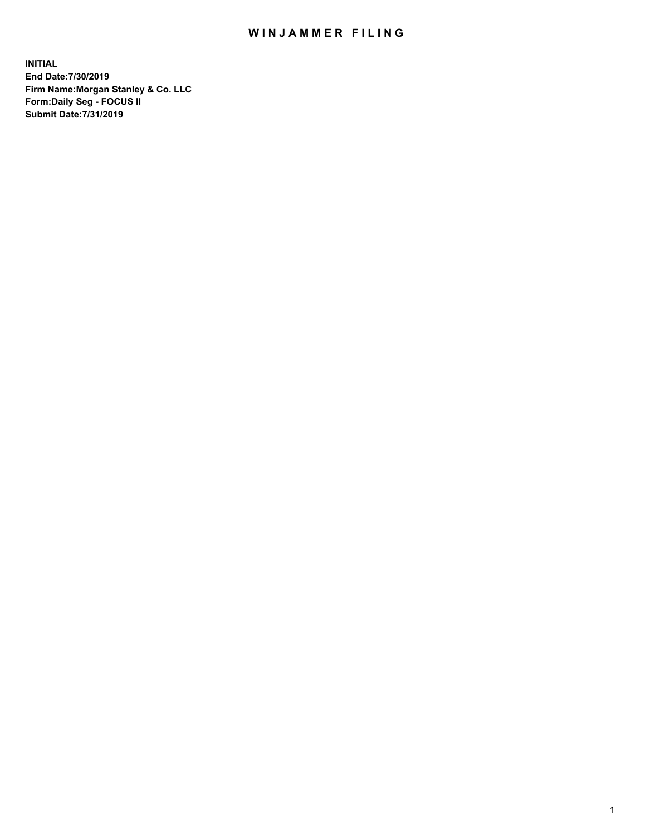## WIN JAMMER FILING

**INITIAL End Date:7/30/2019 Firm Name:Morgan Stanley & Co. LLC Form:Daily Seg - FOCUS II Submit Date:7/31/2019**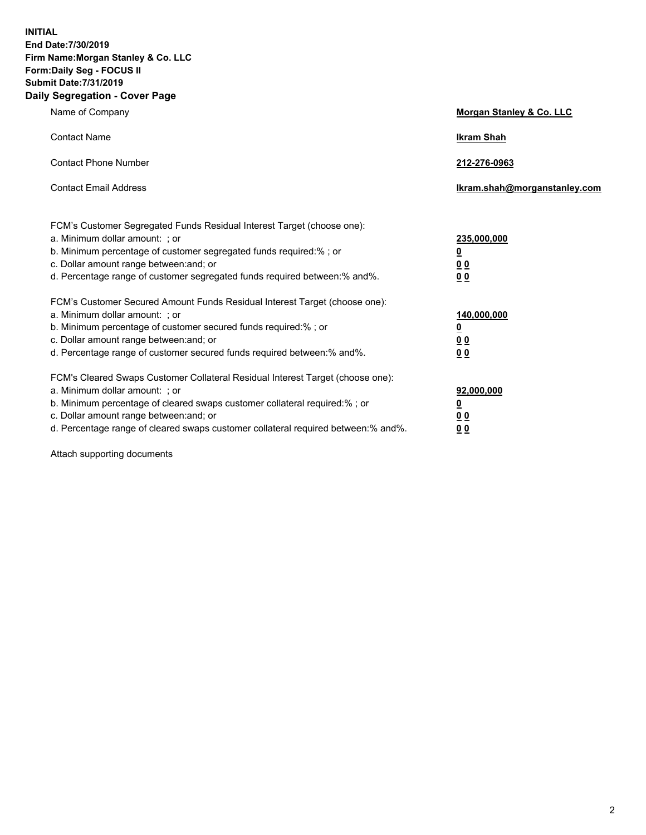**INITIAL End Date:7/30/2019 Firm Name:Morgan Stanley & Co. LLC Form:Daily Seg - FOCUS II Submit Date:7/31/2019 Daily Segregation - Cover Page**

| Name of Company                                                                                                                                                                                                                                                                                                                | Morgan Stanley & Co. LLC                                    |
|--------------------------------------------------------------------------------------------------------------------------------------------------------------------------------------------------------------------------------------------------------------------------------------------------------------------------------|-------------------------------------------------------------|
| <b>Contact Name</b>                                                                                                                                                                                                                                                                                                            | <b>Ikram Shah</b>                                           |
| <b>Contact Phone Number</b>                                                                                                                                                                                                                                                                                                    | 212-276-0963                                                |
| <b>Contact Email Address</b>                                                                                                                                                                                                                                                                                                   | Ikram.shah@morganstanley.com                                |
| FCM's Customer Segregated Funds Residual Interest Target (choose one):<br>a. Minimum dollar amount: ; or<br>b. Minimum percentage of customer segregated funds required:% ; or<br>c. Dollar amount range between: and; or<br>d. Percentage range of customer segregated funds required between:% and%.                         | 235,000,000<br><u>0</u><br>0 Q<br>0 Q                       |
| FCM's Customer Secured Amount Funds Residual Interest Target (choose one):<br>a. Minimum dollar amount: ; or<br>b. Minimum percentage of customer secured funds required:% ; or<br>c. Dollar amount range between: and; or<br>d. Percentage range of customer secured funds required between: % and %.                         | 140,000,000<br><u>0</u><br>0 <sub>0</sub><br>0 <sub>0</sub> |
| FCM's Cleared Swaps Customer Collateral Residual Interest Target (choose one):<br>a. Minimum dollar amount: ; or<br>b. Minimum percentage of cleared swaps customer collateral required:% ; or<br>c. Dollar amount range between: and; or<br>d. Percentage range of cleared swaps customer collateral required between:% and%. | 92,000,000<br><u>0</u><br>0 Q<br>00                         |

Attach supporting documents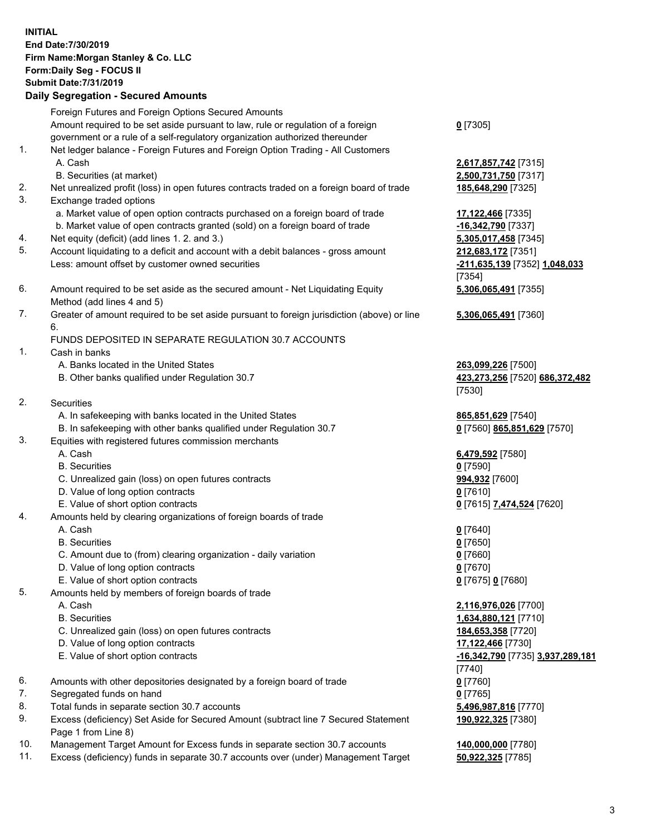## **INITIAL End Date:7/30/2019 Firm Name:Morgan Stanley & Co. LLC Form:Daily Seg - FOCUS II Submit Date:7/31/2019 Daily Segregation - Secured Amounts** Foreign Futures and Foreign Options Secured Amounts Amount required to be set aside pursuant to law, rule or regulation of a foreign government or a rule of a self-regulatory organization authorized thereunder 1. Net ledger balance - Foreign Futures and Foreign Option Trading - All Customers A. Cash **2,617,857,742** [7315] B. Securities (at market) **2,500,731,750** [7317] 2. Net unrealized profit (loss) in open futures contracts traded on a foreign board of trade **185,648,290** [7325] 3. Exchange traded options a. Market value of open option contracts purchased on a foreign board of trade **17,122,466** [7335] b. Market value of open contracts granted (sold) on a foreign board of trade **-16,342,790** [7337] 4. Net equity (deficit) (add lines 1. 2. and 3.) **5,305,017,458** [7345] 5. Account liquidating to a deficit and account with a debit balances - gross amount **212,683,172** [7351] Less: amount offset by customer owned securities **-211,635,139** [7352] **1,048,033** 6. Amount required to be set aside as the secured amount - Net Liquidating Equity Method (add lines 4 and 5) 7. Greater of amount required to be set aside pursuant to foreign jurisdiction (above) or line 6. FUNDS DEPOSITED IN SEPARATE REGULATION 30.7 ACCOUNTS 1. Cash in banks A. Banks located in the United States **263,099,226** [7500] B. Other banks qualified under Regulation 30.7 **423,273,256** [7520] **686,372,482** 2. Securities A. In safekeeping with banks located in the United States **865,851,629** [7540] B. In safekeeping with other banks qualified under Regulation 30.7 **0** [7560] **865,851,629** [7570] 3. Equities with registered futures commission merchants A. Cash **6,479,592** [7580] B. Securities **0** [7590] C. Unrealized gain (loss) on open futures contracts **994,932** [7600] D. Value of long option contracts **0** [7610] E. Value of short option contracts **0** [7615] **7,474,524** [7620] 4. Amounts held by clearing organizations of foreign boards of trade A. Cash **0** [7640] B. Securities **0** [7650] C. Amount due to (from) clearing organization - daily variation **0** [7660]

- D. Value of long option contracts **0** [7670]
- E. Value of short option contracts **0** [7675] **0** [7680]
- 5. Amounts held by members of foreign boards of trade
	-
	-
	- C. Unrealized gain (loss) on open futures contracts **184,653,358** [7720]
	- D. Value of long option contracts **17,122,466** [7730]
	- E. Value of short option contracts **-16,342,790** [7735] **3,937,289,181**
- 6. Amounts with other depositories designated by a foreign board of trade **0** [7760]
- 7. Segregated funds on hand **0** [7765]
- 8. Total funds in separate section 30.7 accounts **5,496,987,816** [7770]
- 9. Excess (deficiency) Set Aside for Secured Amount (subtract line 7 Secured Statement Page 1 from Line 8)
- 10. Management Target Amount for Excess funds in separate section 30.7 accounts **140,000,000** [7780]
- 11. Excess (deficiency) funds in separate 30.7 accounts over (under) Management Target **50,922,325** [7785]

| ۳ |
|---|
|---|

[7354] **5,306,065,491** [7355]

**5,306,065,491** [7360]

[7530]

 A. Cash **2,116,976,026** [7700] B. Securities **1,634,880,121** [7710] [7740] **190,922,325** [7380]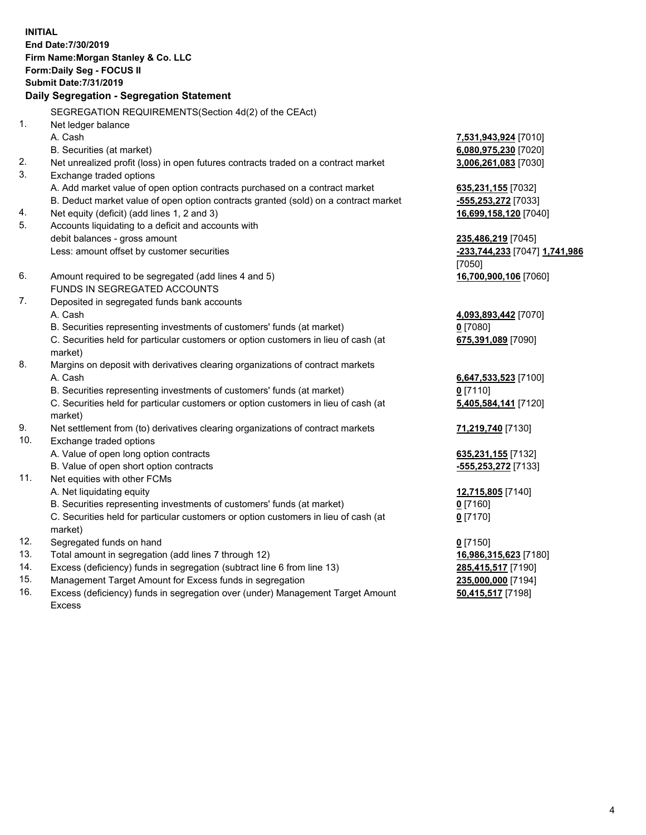**INITIAL End Date:7/30/2019 Firm Name:Morgan Stanley & Co. LLC Form:Daily Seg - FOCUS II Submit Date:7/31/2019 Daily Segregation - Segregation Statement** SEGREGATION REQUIREMENTS(Section 4d(2) of the CEAct) 1. Net ledger balance A. Cash **7,531,943,924** [7010] B. Securities (at market) **6,080,975,230** [7020] 2. Net unrealized profit (loss) in open futures contracts traded on a contract market **3,006,261,083** [7030] 3. Exchange traded options A. Add market value of open option contracts purchased on a contract market **635,231,155** [7032] B. Deduct market value of open option contracts granted (sold) on a contract market **-555,253,272** [7033] 4. Net equity (deficit) (add lines 1, 2 and 3) **16,699,158,120** [7040] 5. Accounts liquidating to a deficit and accounts with debit balances - gross amount **235,486,219** [7045] Less: amount offset by customer securities **-233,744,233** [7047] **1,741,986** [7050] 6. Amount required to be segregated (add lines 4 and 5) **16,700,900,106** [7060] FUNDS IN SEGREGATED ACCOUNTS 7. Deposited in segregated funds bank accounts A. Cash **4,093,893,442** [7070] B. Securities representing investments of customers' funds (at market) **0** [7080] C. Securities held for particular customers or option customers in lieu of cash (at market) **675,391,089** [7090] 8. Margins on deposit with derivatives clearing organizations of contract markets A. Cash **6,647,533,523** [7100] B. Securities representing investments of customers' funds (at market) **0** [7110] C. Securities held for particular customers or option customers in lieu of cash (at market) **5,405,584,141** [7120] 9. Net settlement from (to) derivatives clearing organizations of contract markets **71,219,740** [7130] 10. Exchange traded options A. Value of open long option contracts **635,231,155** [7132] B. Value of open short option contracts **and the set of our set of our set of our set of our set of our set of our set of our set of our set of our set of our set of our set of our set of our set of our set of our set of o** 11. Net equities with other FCMs A. Net liquidating equity **12,715,805** [7140] B. Securities representing investments of customers' funds (at market) **0** [7160] C. Securities held for particular customers or option customers in lieu of cash (at market) **0** [7170] 12. Segregated funds on hand **0** [7150] 13. Total amount in segregation (add lines 7 through 12) **16,986,315,623** [7180] 14. Excess (deficiency) funds in segregation (subtract line 6 from line 13) **285,415,517** [7190]

- 15. Management Target Amount for Excess funds in segregation **235,000,000** [7194]
- 16. Excess (deficiency) funds in segregation over (under) Management Target Amount Excess

**50,415,517** [7198]